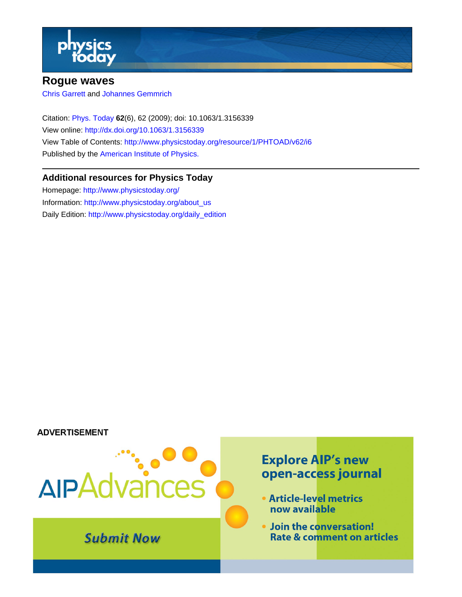

# **Rogue waves**

[Chris Garrett](http://www.physicstoday.org/search?sortby=newestdate&q=&searchzone=2&searchtype=searchin&faceted=faceted&key=AIP_ALL&possible1=Chris Garrett&possible1zone=author&alias=&displayid=AIP&ver=pdfcov) and [Johannes Gemmrich](http://www.physicstoday.org/search?sortby=newestdate&q=&searchzone=2&searchtype=searchin&faceted=faceted&key=AIP_ALL&possible1=Johannes Gemmrich&possible1zone=author&alias=&displayid=AIP&ver=pdfcov)

Citation: [Phys. Today](http://www.physicstoday.org/?ver=pdfcov) **62**(6), 62 (2009); doi: 10.1063/1.3156339 View online: [http://dx.doi.org/10.1063/1.3156339](http://link.aip.org/link/doi/10.1063/1.3156339?ver=pdfcov) View Table of Contents: [http://www.physicstoday.org/resource/1/PHTOAD/v62/i6](http://www.physicstoday.org/resource/1/PHTOAD/v62/i6?ver=pdfcov) Published by the [American Institute of Physics.](http://www.aip.org/?ver=pdfcov)

## **Additional resources for Physics Today**

Homepage: [http://www.physicstoday.org/](http://www.physicstoday.org/?ver=pdfcov) Information: [http://www.physicstoday.org/about\\_us](http://www.physicstoday.org/about_us?ver=pdfcov) Daily Edition: [http://www.physicstoday.org/daily\\_edition](http://www.physicstoday.org/daily_edition?ver=pdfcov)

## **ADVERTISEMENT**



# **Submit Now**

# **Explore AIP's new** open-access journal

- Article-level metrics now available
- Join the conversation! **Rate & comment on articles**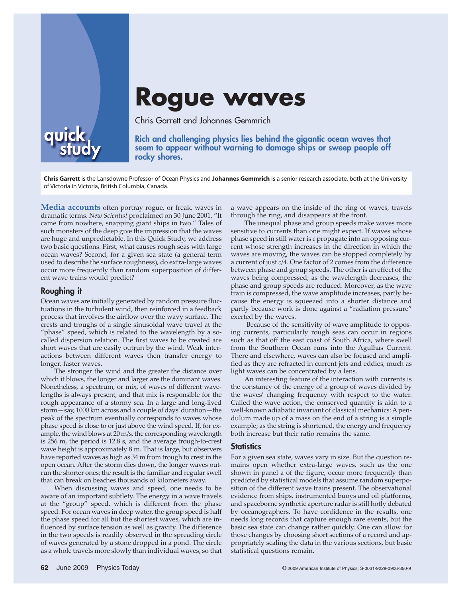**Roger Chris Garrett and Johannes Gemmrich** Chris Garrett and Johannes Gemmrich

**Rich and challenging physics lies behind the gigantic ocean waves that seem to appear without warning to damage ships or sweep people off rocky shores.**

**Chris Garrett** is the Lansdowne Professor of Ocean Physics and **Johannes Gemmrich** is a senior research associate, both at the University of Victoria in Victoria, British Columbia, Canada.

**Media accounts** often portray rogue, or freak, waves in dramatic terms. *New Scientist* proclaimed on 30 June 2001, "It came from nowhere, snapping giant ships in two." Tales of such monsters of the deep give the impression that the waves are huge and unpredictable. In this Quick Study, we address two basic questions. First, what causes rough seas with large ocean waves? Second, for a given sea state (a general term used to describe the surface roughness), do extra-large waves occur more frequently than random superposition of different wave trains would predict?

## **Roughing it**

Ocean waves are initially generated by random pressure fluctuations in the turbulent wind, then reinforced in a feedback process that involves the airflow over the wavy surface. The crests and troughs of a single sinusoidal wave travel at the "phase" speed, which is related to the wavelength by a socalled dispersion relation. The first waves to be created are short waves that are easily outrun by the wind. Weak interactions between different waves then transfer energy to longer, faster waves.

The stronger the wind and the greater the distance over which it blows, the longer and larger are the dominant waves. Nonetheless, a spectrum, or mix, of waves of different wavelengths is always present, and that mix is responsible for the rough appearance of a stormy sea. In a large and long-lived storm—say, 1000 km across and a couple of days' duration—the peak of the spectrum eventually corresponds to waves whose phase speed is close to or just above the wind speed. If, for example, the wind blows at 20 m/s, the corresponding wavelength is 256 m, the period is 12.8 s, and the average trough-to-crest wave height is approximately 8 m. That is large, but observers have reported waves as high as 34 m from trough to crest in the open ocean. After the storm dies down, the longer waves outrun the shorter ones; the result is the familiar and regular swell that can break on beaches thousands of kilometers away.

When discussing waves and speed, one needs to be aware of an important subtlety. The energy in a wave travels at the "group" speed, which is different from the phase speed. For ocean waves in deep water, the group speed is half the phase speed for all but the shortest waves, which are influenced by surface tension as well as gravity. The difference in the two speeds is readily observed in the spreading circle of waves generated by a stone dropped in a pond. The circle as a whole travels more slowly than individual waves, so that

a wave appears on the inside of the ring of waves, travels through the ring, and disappears at the front.

The unequal phase and group speeds make waves more sensitive to currents than one might expect. If waves whose phase speed in still water is *c* propagate into an opposing current whose strength increases in the direction in which the waves are moving, the waves can be stopped completely by a current of just *c*/4. One factor of 2 comes from the difference between phase and group speeds. The other is an effect of the waves being compressed; as the wavelength decreases, the phase and group speeds are reduced. Moreover, as the wave train is compressed, the wave amplitude increases, partly because the energy is squeezed into a shorter distance and partly because work is done against a "radiation pressure" exerted by the waves.

Because of the sensitivity of wave amplitude to opposing currents, particularly rough seas can occur in regions such as that off the east coast of South Africa, where swell from the Southern Ocean runs into the Agulhas Current. There and elsewhere, waves can also be focused and amplified as they are refracted in current jets and eddies, much as light waves can be concentrated by a lens.

An interesting feature of the interaction with currents is the constancy of the energy of a group of waves divided by the waves' changing frequency with respect to the water. Called the wave action, the conserved quantity is akin to a well-known adiabatic invariant of classical mechanics: A pendulum made up of a mass on the end of a string is a simple example; as the string is shortened, the energy and frequency both increase but their ratio remains the same.

### **Statistics**

For a given sea state, waves vary in size. But the question remains open whether extra-large waves, such as the one shown in panel a of the figure, occur more frequently than predicted by statistical models that assume random superposition of the different wave trains present. The observational evidence from ships, instrumented buoys and oil platforms, and spaceborne synthetic aperture radar is still hotly debated by oceanographers. To have confidence in the results, one needs long records that capture enough rare events, but the basic sea state can change rather quickly. One can allow for those changes by choosing short sections of a record and appropriately scaling the data in the various sections, but basic statistical questions remain.